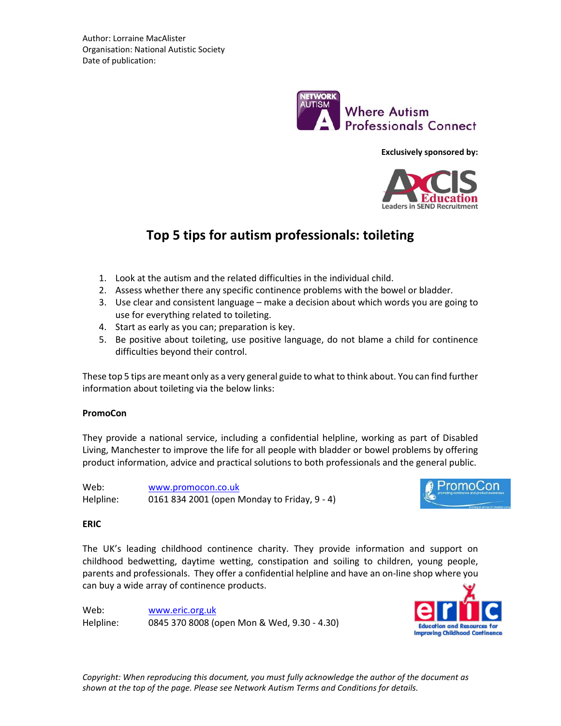

**Exclusively sponsored by:**



# **Top 5 tips for autism professionals: toileting**

- 1. Look at the autism and the related difficulties in the individual child.
- 2. Assess whether there any specific continence problems with the bowel or bladder.
- 3. Use clear and consistent language make a decision about which words you are going to use for everything related to toileting.
- 4. Start as early as you can; preparation is key.
- 5. Be positive about toileting, use positive language, do not blame a child for continence difficulties beyond their control.

These top 5 tips are meant only as a very general guide to what to think about. You can find further information about toileting via the below links:

# **PromoCon**

They provide a national service, including a confidential helpline, working as part of Disabled Living, Manchester to improve the life for all people with bladder or bowel problems by offering product information, advice and practical solutions to both professionals and the general public.

| Web:      | www.promocon.co.uk                           |
|-----------|----------------------------------------------|
| Helpline: | 0161 834 2001 (open Monday to Friday, 9 - 4) |



# **ERIC**

The UK's leading childhood continence charity. They provide information and support on childhood bedwetting, daytime wetting, constipation and soiling to children, young people, parents and professionals. They offer a confidential helpline and have an on-line shop where you can buy a wide array of continence products.

Web: [www.eric.org.uk](http://www.eric.org.uk/) Helpline: 0845 370 8008 (open Mon & Wed, 9.30 - 4.30)



*Copyright: When reproducing this document, you must fully acknowledge the author of the document as shown at the top of the page. Please see Network Autism Terms and Conditions for details.*